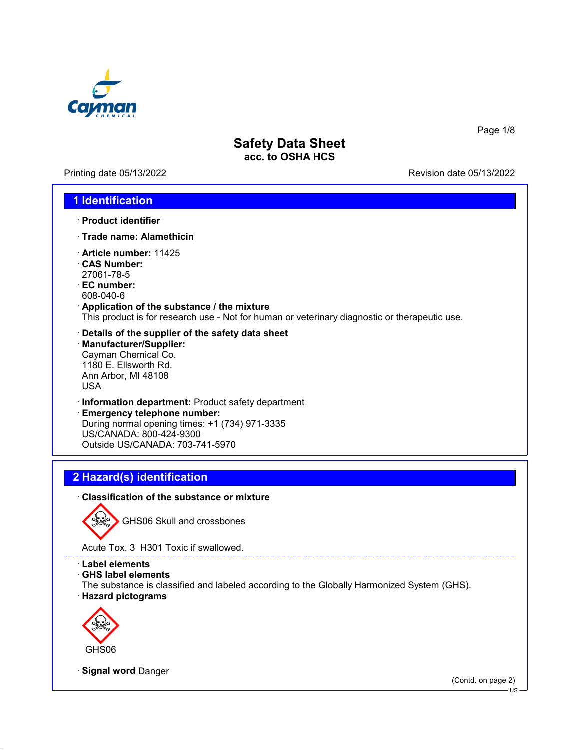

Printing date 05/13/2022 **Revision date 05/13/2022** 

Page 1/8

### **1 Identification**

- · **Product identifier**
- · **Trade name: Alamethicin**
- · **Article number:** 11425
- · **CAS Number:** 27061-78-5
- · **EC number:** 608-040-6
- · **Application of the substance / the mixture** This product is for research use - Not for human or veterinary diagnostic or therapeutic use.
- · **Details of the supplier of the safety data sheet** · **Manufacturer/Supplier:** Cayman Chemical Co. 1180 E. Ellsworth Rd. Ann Arbor, MI 48108 USA
- · **Information department:** Product safety department
- · **Emergency telephone number:** During normal opening times: +1 (734) 971-3335 US/CANADA: 800-424-9300 Outside US/CANADA: 703-741-5970

# **2 Hazard(s) identification**

#### · **Classification of the substance or mixture**



GHS06 Skull and crossbones

Acute Tox. 3 H301 Toxic if swallowed.

- · **Label elements**
- · **GHS label elements**

The substance is classified and labeled according to the Globally Harmonized System (GHS). · **Hazard pictograms**



· **Signal word** Danger

(Contd. on page 2)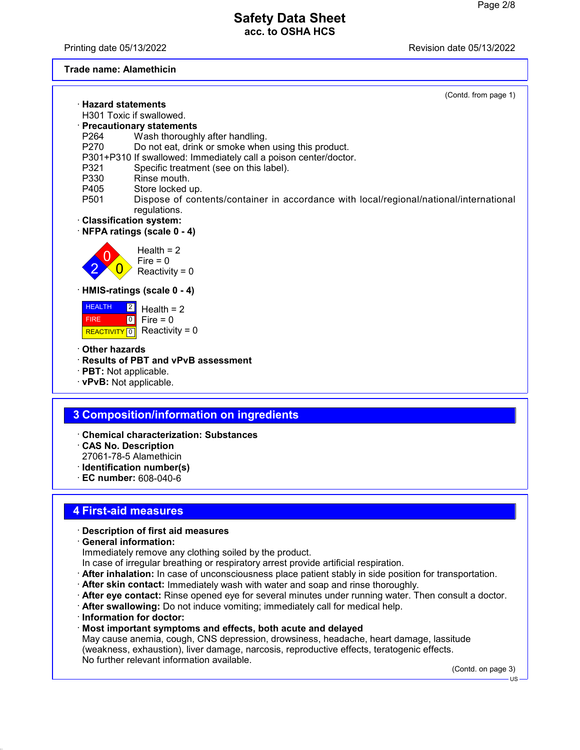Printing date 05/13/2022 Revision date 05/13/2022

### **Trade name: Alamethicin**

|                                                   | (Contd. from page 1)                                                                                   |
|---------------------------------------------------|--------------------------------------------------------------------------------------------------------|
|                                                   | $\cdot$ Hazard statements                                                                              |
|                                                   | H301 Toxic if swallowed.                                                                               |
|                                                   | · Precautionary statements                                                                             |
| P264                                              | Wash thoroughly after handling.                                                                        |
| P <sub>270</sub>                                  | Do not eat, drink or smoke when using this product.                                                    |
|                                                   | P301+P310 If swallowed: Immediately call a poison center/doctor.                                       |
| P321                                              | Specific treatment (see on this label).                                                                |
| P330                                              | Rinse mouth.                                                                                           |
| P405                                              | Store locked up.                                                                                       |
| P <sub>501</sub>                                  | Dispose of contents/container in accordance with local/regional/national/international<br>regulations. |
|                                                   | · Classification system:                                                                               |
|                                                   | NFPA ratings (scale 0 - 4)                                                                             |
|                                                   | Health $= 2$<br>$Fire = 0$<br>Reactivity = $0$                                                         |
|                                                   | · HMIS-ratings (scale 0 - 4)                                                                           |
| <b>HEALTH</b><br><b>FIRE</b><br><b>REACTIVITY</b> | $\boxed{2}$<br>Health $= 2$<br>$\lceil 0 \rceil$<br>Fire $= 0$<br>Reactivity = $0$<br>$\boxed{0}$      |
| Other hazards                                     |                                                                                                        |
|                                                   | · Results of PBT and vPvB assessment                                                                   |
|                                                   | $\cdot$ PBT: Not applicable.                                                                           |
|                                                   | · vPvB: Not applicable.                                                                                |
|                                                   |                                                                                                        |
|                                                   |                                                                                                        |
|                                                   | <b>3 Composition/information on ingredients</b>                                                        |
|                                                   |                                                                                                        |

- · **Chemical characterization: Substances**
- · **CAS No. Description** 27061-78-5 Alamethicin
- · **Identification number(s)**
- · **EC number:** 608-040-6

## **4 First-aid measures**

#### · **Description of first aid measures**

· **General information:**

Immediately remove any clothing soiled by the product.

- In case of irregular breathing or respiratory arrest provide artificial respiration.
- · **After inhalation:** In case of unconsciousness place patient stably in side position for transportation.
- · **After skin contact:** Immediately wash with water and soap and rinse thoroughly.
- · **After eye contact:** Rinse opened eye for several minutes under running water. Then consult a doctor.
- · **After swallowing:** Do not induce vomiting; immediately call for medical help.
- · **Information for doctor:**
- · **Most important symptoms and effects, both acute and delayed**

May cause anemia, cough, CNS depression, drowsiness, headache, heart damage, lassitude (weakness, exhaustion), liver damage, narcosis, reproductive effects, teratogenic effects. No further relevant information available.

(Contd. on page 3)

US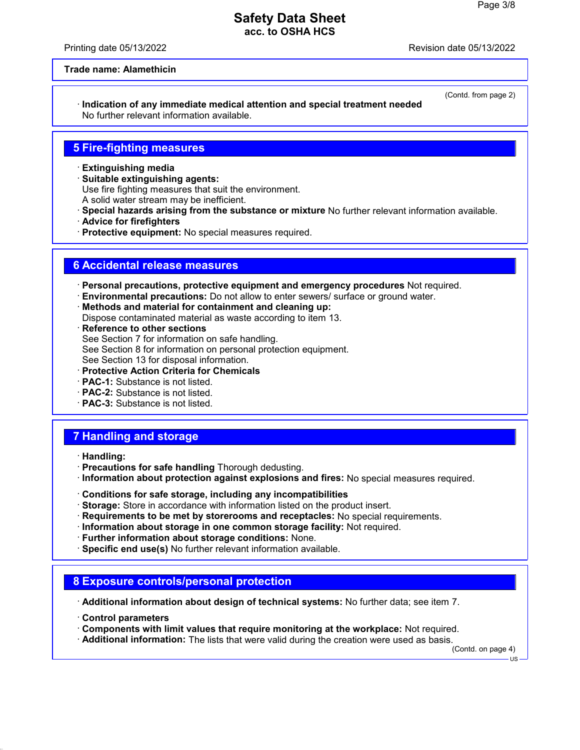Printing date 05/13/2022 Revision date 05/13/2022

(Contd. from page 2)

#### **Trade name: Alamethicin**

· **Indication of any immediate medical attention and special treatment needed** No further relevant information available.

### **5 Fire-fighting measures**

- · **Extinguishing media**
- · **Suitable extinguishing agents:**

Use fire fighting measures that suit the environment.

- A solid water stream may be inefficient.
- · **Special hazards arising from the substance or mixture** No further relevant information available.
- · **Advice for firefighters**
- · **Protective equipment:** No special measures required.

### **6 Accidental release measures**

· **Personal precautions, protective equipment and emergency procedures** Not required.

- · **Environmental precautions:** Do not allow to enter sewers/ surface or ground water.
- · **Methods and material for containment and cleaning up:**

Dispose contaminated material as waste according to item 13.

- · **Reference to other sections** See Section 7 for information on safe handling. See Section 8 for information on personal protection equipment. See Section 13 for disposal information.
- · **Protective Action Criteria for Chemicals**
- · **PAC-1:** Substance is not listed.
- · **PAC-2:** Substance is not listed.
- · **PAC-3:** Substance is not listed.

## **7 Handling and storage**

- · **Handling:**
- · **Precautions for safe handling** Thorough dedusting.
- · **Information about protection against explosions and fires:** No special measures required.
- · **Conditions for safe storage, including any incompatibilities**
- · **Storage:** Store in accordance with information listed on the product insert.
- · **Requirements to be met by storerooms and receptacles:** No special requirements.
- · **Information about storage in one common storage facility:** Not required.
- · **Further information about storage conditions:** None.
- · **Specific end use(s)** No further relevant information available.

### **8 Exposure controls/personal protection**

· **Additional information about design of technical systems:** No further data; see item 7.

- · **Control parameters**
- · **Components with limit values that require monitoring at the workplace:** Not required.
- · **Additional information:** The lists that were valid during the creation were used as basis.

(Contd. on page 4)

US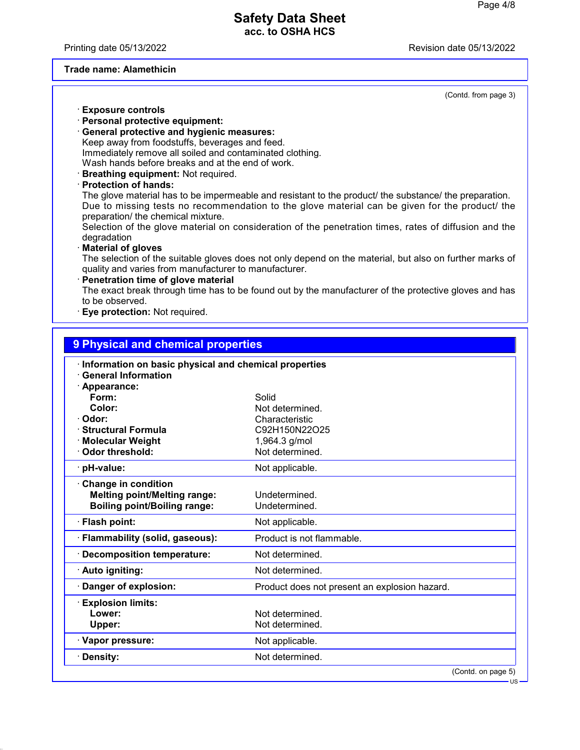Printing date 05/13/2022 Revision date 05/13/2022

#### **Trade name: Alamethicin**

(Contd. from page 3)

- · **Exposure controls**
- · **Personal protective equipment:**
- · **General protective and hygienic measures:** Keep away from foodstuffs, beverages and feed. Immediately remove all soiled and contaminated clothing. Wash hands before breaks and at the end of work.
- · **Breathing equipment:** Not required.
- · **Protection of hands:**

The glove material has to be impermeable and resistant to the product/ the substance/ the preparation. Due to missing tests no recommendation to the glove material can be given for the product/ the preparation/ the chemical mixture.

Selection of the glove material on consideration of the penetration times, rates of diffusion and the degradation

· **Material of gloves**

The selection of the suitable gloves does not only depend on the material, but also on further marks of quality and varies from manufacturer to manufacturer.

**Penetration time of glove material** The exact break through time has to be found out by the manufacturer of the protective gloves and has to be observed.

**Eye protection: Not required.** 

| 9 Physical and chemical properties                                                  |                                               |  |  |  |  |  |
|-------------------------------------------------------------------------------------|-----------------------------------------------|--|--|--|--|--|
| Information on basic physical and chemical properties<br><b>General Information</b> |                                               |  |  |  |  |  |
| Appearance:                                                                         |                                               |  |  |  |  |  |
| Form:                                                                               | Solid                                         |  |  |  |  |  |
| Color:                                                                              | Not determined.                               |  |  |  |  |  |
| Odor:                                                                               | Characteristic                                |  |  |  |  |  |
| <b>Structural Formula</b>                                                           | C92H150N22O25                                 |  |  |  |  |  |
| <b>Molecular Weight</b>                                                             | 1,964.3 g/mol                                 |  |  |  |  |  |
| Odor threshold:                                                                     | Not determined.                               |  |  |  |  |  |
| pH-value:                                                                           | Not applicable.                               |  |  |  |  |  |
| <b>Change in condition</b>                                                          |                                               |  |  |  |  |  |
| <b>Melting point/Melting range:</b>                                                 | Undetermined.                                 |  |  |  |  |  |
| <b>Boiling point/Boiling range:</b>                                                 | Undetermined.                                 |  |  |  |  |  |
| <b>Flash point:</b>                                                                 | Not applicable.                               |  |  |  |  |  |
| Flammability (solid, gaseous):                                                      | Product is not flammable.                     |  |  |  |  |  |
| <b>Decomposition temperature:</b>                                                   | Not determined.                               |  |  |  |  |  |
| · Auto igniting:                                                                    | Not determined.                               |  |  |  |  |  |
| Danger of explosion:                                                                | Product does not present an explosion hazard. |  |  |  |  |  |
| <b>Explosion limits:</b>                                                            |                                               |  |  |  |  |  |
| Lower:                                                                              | Not determined.                               |  |  |  |  |  |
| Upper:                                                                              | Not determined.                               |  |  |  |  |  |
| · Vapor pressure:                                                                   | Not applicable.                               |  |  |  |  |  |
| Density:                                                                            | Not determined.                               |  |  |  |  |  |
|                                                                                     | (Contd. on page 5)                            |  |  |  |  |  |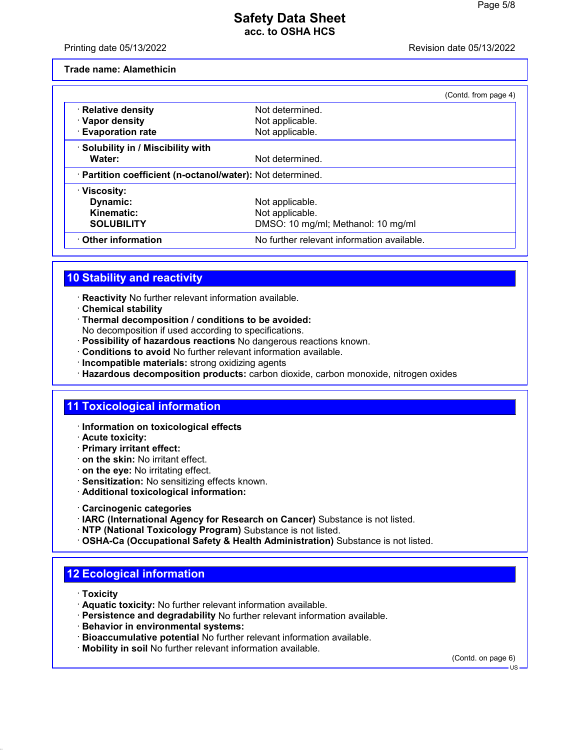Printing date 05/13/2022 Revision date 05/13/2022

**Trade name: Alamethicin**

|                                                            |                                            | (Contd. from page 4) |
|------------------------------------------------------------|--------------------------------------------|----------------------|
| · Relative density                                         | Not determined.                            |                      |
| · Vapor density                                            | Not applicable.                            |                      |
| <b>Evaporation rate</b>                                    | Not applicable.                            |                      |
| · Solubility in / Miscibility with                         |                                            |                      |
| Water:                                                     | Not determined.                            |                      |
| · Partition coefficient (n-octanol/water): Not determined. |                                            |                      |
| · Viscosity:                                               |                                            |                      |
| Dynamic:                                                   | Not applicable.                            |                      |
| Kinematic:                                                 | Not applicable.                            |                      |
| <b>SOLUBILITY</b>                                          | DMSO: 10 mg/ml; Methanol: 10 mg/ml         |                      |
| Other information                                          | No further relevant information available. |                      |

# **10 Stability and reactivity**

- · **Reactivity** No further relevant information available.
- · **Chemical stability**
- · **Thermal decomposition / conditions to be avoided:**
- No decomposition if used according to specifications.
- · **Possibility of hazardous reactions** No dangerous reactions known.
- · **Conditions to avoid** No further relevant information available.
- · **Incompatible materials:** strong oxidizing agents
- · **Hazardous decomposition products:** carbon dioxide, carbon monoxide, nitrogen oxides

## **11 Toxicological information**

- · **Information on toxicological effects**
- · **Acute toxicity:**
- · **Primary irritant effect:**
- · **on the skin:** No irritant effect.
- · **on the eye:** No irritating effect.
- · **Sensitization:** No sensitizing effects known.
- · **Additional toxicological information:**
- · **Carcinogenic categories**
- · **IARC (International Agency for Research on Cancer)** Substance is not listed.
- · **NTP (National Toxicology Program)** Substance is not listed.
- · **OSHA-Ca (Occupational Safety & Health Administration)** Substance is not listed.

## **12 Ecological information**

- · **Toxicity**
- · **Aquatic toxicity:** No further relevant information available.
- · **Persistence and degradability** No further relevant information available.
- · **Behavior in environmental systems:**
- · **Bioaccumulative potential** No further relevant information available.
- · **Mobility in soil** No further relevant information available.

(Contd. on page 6)

US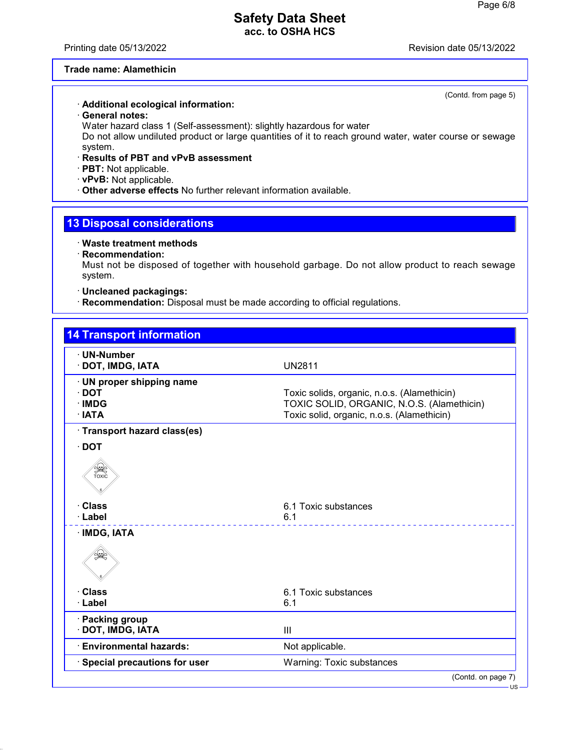Printing date 05/13/2022 Revision date 05/13/2022

(Contd. from page 5)

### **Trade name: Alamethicin**

#### · **Additional ecological information:**

· **General notes:**

Water hazard class 1 (Self-assessment): slightly hazardous for water

Do not allow undiluted product or large quantities of it to reach ground water, water course or sewage system.

- · **Results of PBT and vPvB assessment**
- · **PBT:** Not applicable.

· **vPvB:** Not applicable.

· **Other adverse effects** No further relevant information available.

## **13 Disposal considerations**

#### · **Waste treatment methods**

· **Recommendation:**

Must not be disposed of together with household garbage. Do not allow product to reach sewage system.

### · **Uncleaned packagings:**

· **Recommendation:** Disposal must be made according to official regulations.

| <b>14 Transport information</b>                              |                                                                                                                                         |
|--------------------------------------------------------------|-----------------------------------------------------------------------------------------------------------------------------------------|
| · UN-Number<br>DOT, IMDG, IATA                               | <b>UN2811</b>                                                                                                                           |
| · UN proper shipping name<br>$\cdot$ DOT<br>· IMDG<br>· IATA | Toxic solids, organic, n.o.s. (Alamethicin)<br>TOXIC SOLID, ORGANIC, N.O.S. (Alamethicin)<br>Toxic solid, organic, n.o.s. (Alamethicin) |
| · Transport hazard class(es)                                 |                                                                                                                                         |
| $\cdot$ DOT                                                  |                                                                                                                                         |
| SEEP<br>TOXIC                                                |                                                                                                                                         |
| <b>Class</b><br>· Label                                      | 6.1 Toxic substances<br>6.1                                                                                                             |
| · IMDG, IATA                                                 |                                                                                                                                         |
|                                                              |                                                                                                                                         |
| <b>Class</b>                                                 | 6.1 Toxic substances                                                                                                                    |
| · Label                                                      | 6.1                                                                                                                                     |
| <b>Packing group</b><br>DOT, IMDG, IATA                      | III                                                                                                                                     |
| <b>Environmental hazards:</b>                                | Not applicable.                                                                                                                         |
| Special precautions for user                                 | Warning: Toxic substances                                                                                                               |
|                                                              | (Contd. on page 7)                                                                                                                      |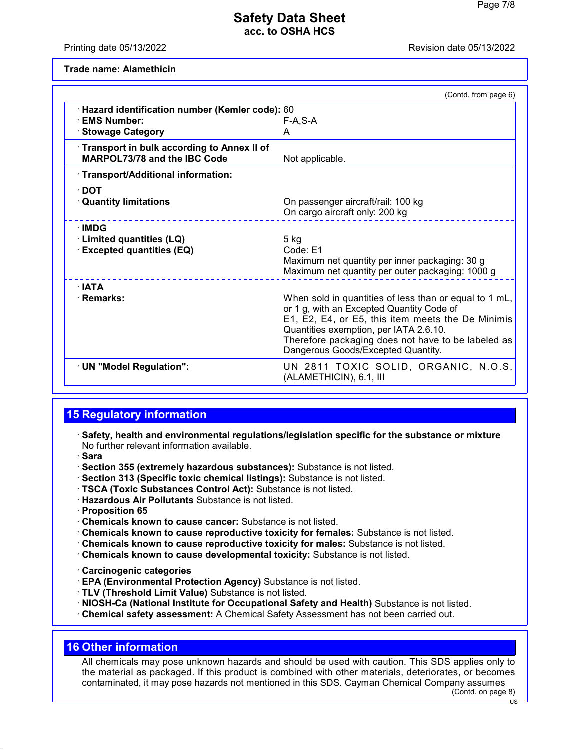Printing date 05/13/2022 Revision date 05/13/2022

**Trade name: Alamethicin**

|                                                                                   | (Contd. from page 6)                                                                                                                                                                                                                                                                           |
|-----------------------------------------------------------------------------------|------------------------------------------------------------------------------------------------------------------------------------------------------------------------------------------------------------------------------------------------------------------------------------------------|
| · Hazard identification number (Kemler code): 60<br>· EMS Number:                 | F-A.S-A                                                                                                                                                                                                                                                                                        |
| · Stowage Category                                                                | A                                                                                                                                                                                                                                                                                              |
| Transport in bulk according to Annex II of<br><b>MARPOL73/78 and the IBC Code</b> | Not applicable.                                                                                                                                                                                                                                                                                |
| · Transport/Additional information:                                               |                                                                                                                                                                                                                                                                                                |
| ∙ DOT                                                                             |                                                                                                                                                                                                                                                                                                |
| <b>Quantity limitations</b>                                                       | On passenger aircraft/rail: 100 kg                                                                                                                                                                                                                                                             |
|                                                                                   | On cargo aircraft only: 200 kg                                                                                                                                                                                                                                                                 |
| $\cdot$ IMDG                                                                      |                                                                                                                                                                                                                                                                                                |
| · Limited quantities (LQ)                                                         | $5$ kg                                                                                                                                                                                                                                                                                         |
| <b>Excepted quantities (EQ)</b>                                                   | Code: E1                                                                                                                                                                                                                                                                                       |
|                                                                                   | Maximum net quantity per inner packaging: 30 g                                                                                                                                                                                                                                                 |
|                                                                                   | Maximum net quantity per outer packaging: 1000 g                                                                                                                                                                                                                                               |
| ∴IATA                                                                             |                                                                                                                                                                                                                                                                                                |
| · Remarks:                                                                        | When sold in quantities of less than or equal to 1 mL,<br>or 1 g, with an Excepted Quantity Code of<br>E1, E2, E4, or E5, this item meets the De Minimis<br>Quantities exemption, per IATA 2.6.10.<br>Therefore packaging does not have to be labeled as<br>Dangerous Goods/Excepted Quantity. |
| · UN "Model Regulation":                                                          | UN 2811 TOXIC SOLID, ORGANIC, N.O.S.<br>(ALAMETHICIN), 6.1, III                                                                                                                                                                                                                                |

# **15 Regulatory information**

- · **Safety, health and environmental regulations/legislation specific for the substance or mixture** No further relevant information available.
- · **Sara**
- · **Section 355 (extremely hazardous substances):** Substance is not listed.
- · **Section 313 (Specific toxic chemical listings):** Substance is not listed.
- · **TSCA (Toxic Substances Control Act):** Substance is not listed.
- · **Hazardous Air Pollutants** Substance is not listed.
- · **Proposition 65**
- · **Chemicals known to cause cancer:** Substance is not listed.
- · **Chemicals known to cause reproductive toxicity for females:** Substance is not listed.
- · **Chemicals known to cause reproductive toxicity for males:** Substance is not listed.
- · **Chemicals known to cause developmental toxicity:** Substance is not listed.
- · **Carcinogenic categories**
- · **EPA (Environmental Protection Agency)** Substance is not listed.
- · **TLV (Threshold Limit Value)** Substance is not listed.
- · **NIOSH-Ca (National Institute for Occupational Safety and Health)** Substance is not listed.
- · **Chemical safety assessment:** A Chemical Safety Assessment has not been carried out.

# **16 Other information**

All chemicals may pose unknown hazards and should be used with caution. This SDS applies only to the material as packaged. If this product is combined with other materials, deteriorates, or becomes contaminated, it may pose hazards not mentioned in this SDS. Cayman Chemical Company assumes (Contd. on page 8)

 $-11S -$